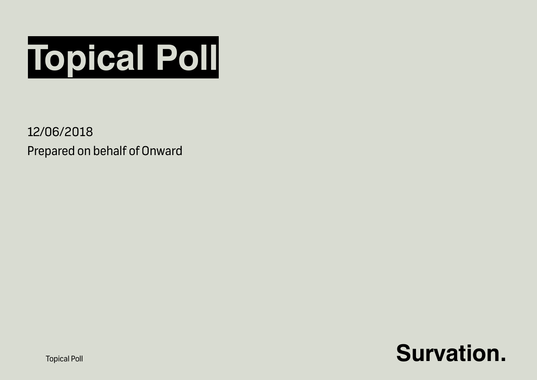

12/06/2018 Prepared on behalf of Onward



**Topical Poll**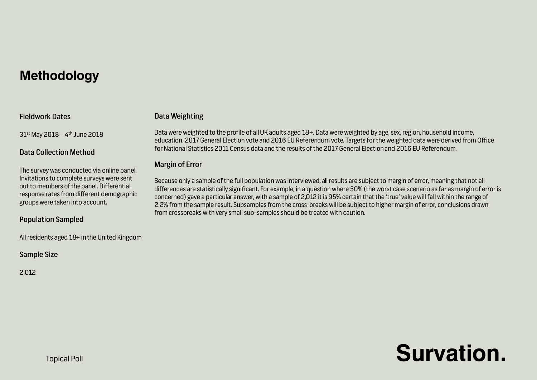## **Methodology**

### **Fieldwork Dates**

31st May 2018 - 4th June 2018

## **Data Collection Method**

The survey was conducted via online panel. Invitations to complete surveys were sent out to members of the panel. Differential response rates from different demographic groups were taken into account.

## **Population Sampled**

All residents aged 18+ in the United Kingdom

## **Sample Size**

2.012

## **Data Weighting**

Data were weighted to the profile of all UK adults aged 18+. Data were weighted by age, sex, region, household income, education, 2017 General Election vote and 2016 EU Referendum vote. Targets for the weighted data were derived from Office for National Statistics 2011 Census data and the results of the 2017 General Election and 2016 EU Referendum.

## **Margin of Error**

Because only a sample of the full population was interviewed, all results are subject to margin of error, meaning that not all differences are statistically significant. For example, in a question where 50% (the worst case scenario as far as margin of error is concerned) gave a particular answer, with a sample of 2,012 it is 95% certain that the 'true' value will fall within the range of 2.2% from the sample result. Subsamples from the cross-breaks will be subject to higher margin of error, conclusions drawn from crossbreaks with very small sub-samples should be treated with caution.

## **Survation.**

**Topical Poll**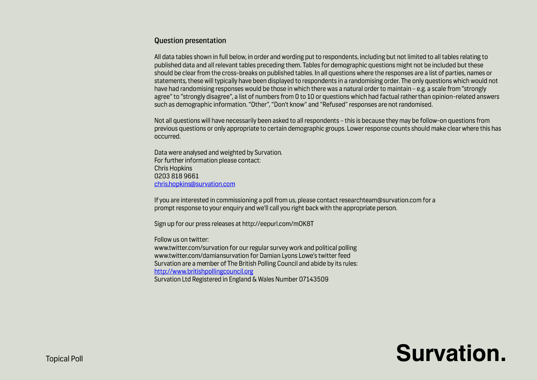### **Question presentation**

All data tables shown in full below, in order and wording put to respondents, including but not limited to all tables relating to published data and all relevant tables preceding them. Tables for demographic questions might not be included but these should be clear from the cross-breaks on published tables. In all questions where the responses are a list of parties, names or statements, these will typically have been displayed to respondents in a randomising order. The only questions which would not have had randomising responses would be those in which there was a natural order to maintain – e.g. a scale from "strongly agree" to "strongly disagree", a list of numbers from 0 to 10 or questions which had factual rather than opinion-related answers such as demographic information, "Other", "Don't know" and "Refused" responses are not randomised.

Not all questions will have necessarily been asked to all respondents - this is because they may be follow-on questions from previous questions or only appropriate to certain demographic groups. Lower response counts should make clear where this has occurred.

Data were analysed and weighted by Survation. For further information please contact: **Chris Hopkins** 02038189661 chris.hopkins@survation.com

If you are interested in commissioning a poll from us, please contact researchteam@survation.com for a prompt response to your enquiry and we'll call you right back with the appropriate person.

Sign up for our press releases at http://eepurl.com/mOK8T

Follow us on twitter:

www.twitter.com/survation for our regular survey work and political polling www.twitter.com/damiansurvation for Damian Lyons Lowe's twitter feed Survation are a member of The British Polling Council and abide by its rules: http://www.britishpollingcouncil.org Survation Ltd Registered in England & Wales Number 07143509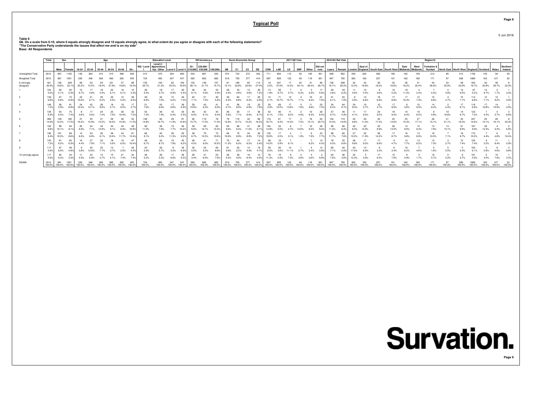5 Jun 2018

**Page 9**

Table 6<br>Q6. On a scale from 0-10, where 0 equals strongly disagree and 10 equals strongly agree, to what extent do you agree or disagree with each of the following statements?<br>"The Conservative Party understands the issues

|                          | Total        |                                           | Sex<br>Aae   |                   |      |       |             |               |                |            | <b>Education Level</b>                                                                               |        |        |            | HH Income p.a. |             |           |            | Socio-Economic Group |               |              |        | 2017 GE Vote |            |       |                 | 2016 EU Ref Vote |               |               |                    |                       |        |                           |        | Region12              |                                                                |        |        |        |       |          |
|--------------------------|--------------|-------------------------------------------|--------------|-------------------|------|-------|-------------|---------------|----------------|------------|------------------------------------------------------------------------------------------------------|--------|--------|------------|----------------|-------------|-----------|------------|----------------------|---------------|--------------|--------|--------------|------------|-------|-----------------|------------------|---------------|---------------|--------------------|-----------------------|--------|---------------------------|--------|-----------------------|----------------------------------------------------------------|--------|--------|--------|-------|----------|
|                          |              | Male Female                               |              | 18-24 25-34 35-44 |      |       | 45-54 55-64 |               | $65+$          |            | Level 2/<br>NQ / Level Apprentices<br>hip / Other   Level 3   Level 4   £19,999   £39,999   £40,000+ |        |        | $E0 -$     | £20,000 -      |             | <b>AB</b> | C1         | C <sub>2</sub>       | DE            | CON          | LAB    | LD           | <b>SNP</b> | Other | Did not<br>vote | Leave            | Remain        | Londor        | East of<br>England | South East South West |        | East<br>Midlands Midlands | West   | Yorkshire &<br>Humber | North East   North West   England   Scotland   Wales   Ireland |        |        |        |       | Northern |
| Unweighted Total         | 2012         | 907                                       |              |                   | 363  |       |             | 396           | 493            |            |                                                                                                      | 324    | 803    | 543        | 887            | 520         | 674       | 724        | 272                  | 342           | 711          | 603    |              |            | 165   | 301             | 830              | 802           | 240           | 220                |                       |        |                           |        |                       |                                                                |        |        |        |       |          |
| Weighted Total           | 2012         | 981                                       |              |                   |      |       |             |               |                |            |                                                                                                      |        |        |            |                |             |           |            |                      |               |              |        |              |            |       |                 |                  |               |               |                    |                       |        |                           |        |                       |                                                                |        |        |        |       |          |
| 0 (strongly<br>disagree) | 421<br>20.9% | 192<br>19.6%                              | 228<br>22.19 |                   |      |       |             |               |                | 20.7       |                                                                                                      | 25.2%  |        | 26.19      |                |             |           |            |                      |               | 2.5%         |        |              |            |       | 26.7%           | 136<br>16.1%     | 208           |               |                    |                       |        |                           |        |                       |                                                                |        |        |        | 29.7% | 23.3%    |
|                          | 104<br>5.2%  | 50<br>5.1%                                | 55           |                   |      |       |             |               |                |            |                                                                                                      |        |        |            |                |             | 4.5%      |            | 4.8%                 |               |              |        |              |            |       |                 | 3.6%             | 49            |               |                    |                       |        |                           |        |                       |                                                                |        |        |        |       |          |
|                          | 139<br>6.9%  | 6.8%                                      |              |                   |      |       | 5.5%        | 5.2%          | -39<br>8.5%    | 49         | 7.0%                                                                                                 | 6.2%   |        | 7.1%       | 7.5%           | 40          | 6.3%      | 62<br>8.8% | 6.2%                 | 20            | 2.1%         |        |              |            |       |                 | 51               | 55            |               |                    |                       |        |                           |        |                       |                                                                |        |        |        | 9.2%  | 3.0%     |
|                          | 148<br>7.4%  | 58<br>5.9%                                | 8.8%         |                   |      |       |             |               |                |            |                                                                                                      |        |        | 10.09      |                |             |           |            |                      |               | 2.9%         |        |              |            |       |                 | 6.3%             |               |               |                    |                       |        |                           |        |                       |                                                                |        |        |        |       |          |
|                          | 138<br>6.9%  | 63<br>6.4%                                |              | 3.6%              | 5.0% |       | 7.0%        | 10.4%         | 7.2%           | 7.3%       | 7.9%                                                                                                 | 6.4%   | 5.5%   | 8.3%       | 42<br>6.1%     | 6.4%        | 5.8%      | 50<br>7 1% | 6.0%                 |               | 6.1%         |        |              |            | 8.3%  | 20<br>6.5%      | 57<br>6.7%       |               | 4.1%          | 9.5%               |                       |        |                           | 6.5%   |                       |                                                                |        |        |        | 3.7%  | 8.8%     |
|                          | 300<br>14.9% | 120<br>12.2%                              | 17.5%        |                   |      |       |             |               |                | 14.8%      |                                                                                                      |        | 14.8%  | 15.7%      | 19<br>17.5%    |             |           |            |                      |               | 16.7%        |        |              |            |       | 20.7%           | 122<br>14.4%     | 14.0%         | 9.6%          |                    |                       |        |                           |        |                       |                                                                |        |        |        |       | 24.3%    |
|                          | 193<br>9.6%  | 99<br>10.1%                               |              |                   |      |       |             |               | 10.89          |            | 7.8%                                                                                                 | 7.7%   | 10.2%  | 6.6%       | 69<br>10.1%    | 83<br>12.2% | 9.6%      |            | 11.0%                | 9.1%          | 104<br>14.9% |        |              |            | 8.5%  | 9.2%            | 11.2%            |               | 8.3%          | 22<br>12.0%        |                       |        |                           |        |                       |                                                                |        |        | 12.4%  | 3.3%  | 6.8%     |
|                          | 190<br>9.4%  | 10.3%                                     | 89<br>8.6%   |                   |      |       |             |               | $13.4^{\circ}$ |            |                                                                                                      |        |        |            | 70             |             |           |            | 8.8%                 |               | 19.0%        |        |              |            |       |                 |                  |               | 10.2%         | 22                 |                       |        |                           |        |                       |                                                                |        |        |        |       |          |
|                          | 145<br>7.2%  | 8.2%                                      | 6.3%         | 4 4%              |      | 7.10/ |             |               | -47<br>10.4%   | 6.7%       |                                                                                                      | 7.8%   | 8.2%   | 26<br>4.5% | 6.0%           | 10.5%       | 11.2%     | 6.3%       | 6.2%                 |               | 14.2%        |        |              |            |       | 13<br>4.3%      | 79<br>9.3%       | 52<br>6.6%    | 9.9%          | 9.2%               |                       |        |                           |        |                       |                                                                |        |        |        |       | 2.9%     |
|                          | 117<br>5.8%  | 67<br>6.9%                                |              | 3.8%              |      |       |             |               | 20             | 5.9%       |                                                                                                      | 3.2%   |        | 5.5%       | 3.5%           |             | 9.9%      | 3.2%       |                      |               | 8.5%         |        |              |            |       |                 | 7.1%             |               | 17.0%         |                    |                       |        |                           |        |                       |                                                                |        |        |        |       |          |
| 10 (strongly agree)      | 117<br>5.8%  | 83<br>8.4%                                | 3.3%         | 4.9%              |      |       |             | 7.4%          | 7.4%           | 38<br>5.2% | 26<br>5.3%                                                                                           | 6.8%   | 6.5%   | 20<br>3.4% | 41<br>6.0%     |             | 9.4%      | 4.0%       | 6.4%                 |               | 11.2%        |        |              |            |       | 0.8%            | 64<br>7.6%       | 4.6%          | 12.3%         | 3.0%               | 6.5%                  | 7.9%   |                           |        |                       |                                                                |        |        |        | 7.6%  | 3.3%     |
| SIGMA                    | 2012         | 100.0% 100.0% 100.0% 100.0% 100.0% 100.0% |              |                   |      |       | 100.0%      | 100.0% 100.0% |                | 100.0%     | 100.0%                                                                                               | 100.0% | 100.0% | 100.0%     | 682<br>100.0%  | 100.0%      | 100.0%    | 100.0%     |                      | 100.0% 100.0% |              | 100.0% | 100.0%       | 100.0%     |       | 100.0%          | 100.0%           | 785<br>100.0% | 263<br>100.0% | 100.0%             | 100.0%                | 100.0% | 100.0%                    | 100.0% | 100.0%                | 100.0%                                                         | 100.0% | 100.0% | 100.0% |       |          |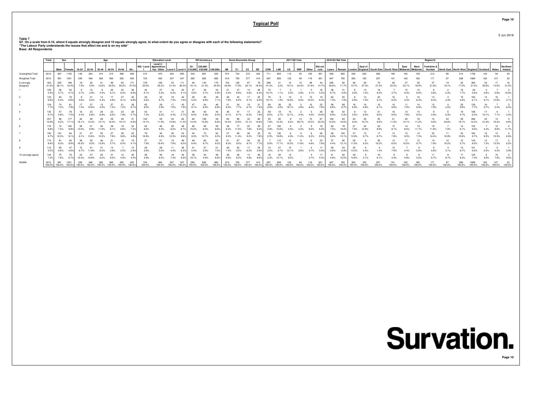5 Jun 2018

**Page 10**

Table 7<br>Q7. On a scale from 0-10, where 0 equals strongly disagree and 10 equals strongly agree, to what extent do you agree or disagree with each of the following statements?<br>"The Labour Party understands the issues that

|                          | Total                                      | Sex<br>Age<br>Male Female 18-24 25-34 35-44 45-54 55-64 |             |       |  |        |        |        |               |              | <b>Education Level</b>                                                                   |        |        |        | HH Income p.a. |      |           |                | Socio-Economic Group |        |        |            | 2017 GE Vote |            |            |             |              | 2016 EU Ref Vote |               |         |                                                        |        |        |        | Region12              |                                                                |        |        |    |          |
|--------------------------|--------------------------------------------|---------------------------------------------------------|-------------|-------|--|--------|--------|--------|---------------|--------------|------------------------------------------------------------------------------------------|--------|--------|--------|----------------|------|-----------|----------------|----------------------|--------|--------|------------|--------------|------------|------------|-------------|--------------|------------------|---------------|---------|--------------------------------------------------------|--------|--------|--------|-----------------------|----------------------------------------------------------------|--------|--------|----|----------|
|                          |                                            |                                                         |             |       |  |        |        |        | $65+$         |              | NQ / Level Apprentices<br>hip / Other   Level 3   Level 4   £19,999   £39,999   £40,000+ |        |        | $E0 -$ | £20,000        |      | <b>AB</b> | C <sub>1</sub> | C <sub>2</sub>       | DE     | CON    | <b>LAB</b> | <b>LD</b>    | <b>SNP</b> | Other vote | Did not     |              | Leave Remain     |               | East of | London England South East South West Midlands Midlands |        | East   | West   | Yorkshire &<br>Humber | North East   North West   England   Scotland   Wales   Ireland |        |        |    | Northern |
| Unweighted Total         | 2012                                       | 907                                                     | 1105        |       |  |        |        | 306    | 493           |              |                                                                                          | 324    | 803    | 543    | 887            | 520  | 674       | 724            | 272                  | 342    | 711    | 603        |              | 50         | 165        | 301         | 830          | 802              | 240           | 220     | 260                                                    |        |        |        |                       |                                                                | 213    |        |    | 39       |
| Weighted Total           | 2012                                       |                                                         |             |       |  |        |        |        |               |              |                                                                                          |        |        |        |                |      |           |                |                      |        |        |            |              |            |            |             |              |                  |               |         |                                                        |        |        |        |                       |                                                                |        |        |    |          |
| 0 (strongly<br>disagree) | 423<br>21.0%                               | 255<br>26.1%                                            | 16.3%       |       |  |        |        |        |               | 159<br>22.0% | 20.2%                                                                                    |        | 20.3%  | 16 1%  |                |      |           |                |                      |        |        |            |              |            |            |             | 285<br>33.6% |                  | 13.7%         | 27.39   |                                                        |        |        |        |                       |                                                                |        |        |    | 31.0%    |
|                          | 109<br>5.4%                                |                                                         |             |       |  |        |        |        |               |              |                                                                                          |        |        |        |                |      |           |                |                      |        |        |            |              |            |            | 5.2%        | 6.7%         |                  | 29%           | 7.2%    |                                                        |        |        |        |                       |                                                                |        |        |    | 10.0%    |
|                          | 133<br>6.6%                                | 6.4%                                                    | 6.8%        |       |  |        |        |        | $9.8^{\circ}$ |              |                                                                                          | 7.3%   | 7.6%   | 5.2%   |                | 49   |           |                |                      | 25     | 10.10/ |            |              |            | 12.5%      | 19          | 7.3%         | 7.0%             | 2.9%          | 7.2%    |                                                        |        |        |        |                       |                                                                |        |        |    | 3.1%     |
|                          | 154<br>7.7%                                | 7.5%                                                    |             |       |  |        |        |        |               |              |                                                                                          | 7.0%   |        |        | 8.0%           |      |           |                |                      |        |        |            |              |            |            | 7.6%        | 6.6%         |                  |               |         |                                                        |        |        |        |                       |                                                                |        |        |    | 6.4%     |
|                          | 135<br>6.7%                                | 5.8%                                                    | 7.5%        |       |  |        | 6.5%   | 7.8%   | 5.7%          | 7.2%         | 8.2%                                                                                     | 4.4%   | 5 7%   | 8.4%   | 40<br>5.9%     | 6.5% | 6.1%      |                | 6.2%                 | 7.8%   | 8.5%   |            | 12.1%        |            | 4.0%       | 30<br>10.0% | 6.8%         |                  | 3.5%          | 6.6%    | 8.0%                                                   | 8.5%   |        |        |                       |                                                                |        |        | 1% | 3.4%     |
|                          | 257<br>12.8%                               |                                                         |             |       |  |        |        |        |               | 102<br>14.1% |                                                                                          | 13.6%  |        | 14.4%  | 108            |      | 10 4%     |                |                      |        | 7.8%   |            |              |            |            | 22.2%       | 12.0%        |                  | 9.3%          | 10.79   |                                                        |        |        |        |                       |                                                                |        |        |    |          |
|                          | 176<br>8.8%                                | 7.5%                                                    | 102<br>9.9% |       |  |        |        |        |               | 63           |                                                                                          | 8.2%   | 8.7%   | 10.2%  | 56<br>8.3%     |      |           |                | 7.8%                 |        | 3.9%   |            |              |            |            | 6.2%        | 7.5%         |                  | 7.9%          | 12.9%   |                                                        |        |        |        |                       |                                                                |        |        |    | 11 7%    |
|                          | 195<br>9.7%                                | 10.3%                                                   |             |       |  |        |        |        |               |              |                                                                                          | 12.3%  |        |        |                |      | 9.3%      |                |                      |        | 2.5%   |            |              |            |            | $R = 0$     | 6.8%         |                  | 13.9%         |         |                                                        |        |        |        |                       |                                                                |        |        |    | 6.6%     |
|                          | 174<br>8.6%                                |                                                         |             |       |  |        |        |        |               | 7.9%         |                                                                                          | 7.6%   |        |        |                | 63   | 8.3%      |                |                      | 7.79   | 0.9%   |            |              |            |            | 23          | 4.4%         | 12.19            | 11.0%         | 4.2%    | 10.2%                                                  |        |        |        |                       |                                                                |        |        |    | 6.5%     |
|                          | 112<br>5.5%                                |                                                         |             |       |  |        |        |        |               |              | 5.6%                                                                                     |        |        | 5.4%   | 3.9%           |      | 7.4%      |                |                      |        | 2.2%   |            |              |            |            |             | 3.6%         |                  | 13.3%         |         |                                                        |        |        |        |                       |                                                                |        |        |    | 3.9%     |
| 10 (strongly agree)      | 144<br>7.2%                                | 7.6%                                                    | 6.7%        | 10.4% |  |        |        |        | 20            | 4.9%         |                                                                                          | 7.4%   | 8.0%   | 10.1%  | 4.9%           |      | 8.0%      | £ 5%           | 4.8%                 |        | 2.3%   |            |              |            |            | 5.5%        | 4.8%         | 10.5%            | 14.8%         | 5.1%    |                                                        |        |        |        |                       |                                                                |        |        |    | 9.0%     |
| SIGMA                    | 2012<br>100.0% 100.0% 100.0% 100.0% 100.0% |                                                         |             |       |  | 100.0% | 100.0% | 100.0% | 100.0%        | 100.0%       | 100.0%                                                                                   | 100.0% | 100.0% | 100.0% |                |      | 100.0%    |                |                      | 100.0% | 100.0% | 100.0%     |              |            |            | 100.0%      | 100.0%       | 100.0%           | 263<br>100.0% | 100.0%  | 100.0%                                                 | 100.0% | 100.0% | 100.0% | 100.0%                | 100.0%                                                         | 100.0% | 100.0% |    | 100.0%   |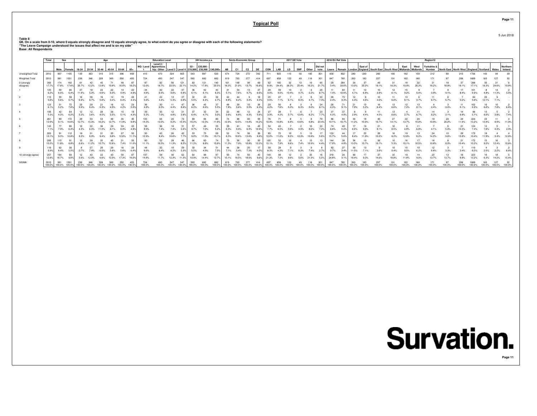Table 8<br>Q8. On a scale from 0-10, where 0 equals strongly disagree and 10 equals strongly agree, to what extent do you agree or disagree with each of the following statements?<br>"The Leave Campaign understood the issues that

|                          | Total        | Sex                                                            |              |       |      | Anc     |       |         |                |               | <b>Education Level</b>                              |            |        |        | HH Income p.a.                                                |        |           |                | <b>Socio-Economic Group</b> |               |              |               | 2017 GE Vote |            |        |                 | 2016 EU Ref Vote |               |       |            |                                                        |        |        |        | Region 12             |                                                                |        |        |                 |        |          |
|--------------------------|--------------|----------------------------------------------------------------|--------------|-------|------|---------|-------|---------|----------------|---------------|-----------------------------------------------------|------------|--------|--------|---------------------------------------------------------------|--------|-----------|----------------|-----------------------------|---------------|--------------|---------------|--------------|------------|--------|-----------------|------------------|---------------|-------|------------|--------------------------------------------------------|--------|--------|--------|-----------------------|----------------------------------------------------------------|--------|--------|-----------------|--------|----------|
|                          |              | Male Female 18-24 25-34 35-44 45-54 55-64                      |              |       |      |         |       |         | $-65+$         |               | Level 2/<br>NQ / Level   Apprentices<br>hip / Other |            |        | $E0 -$ | £20,000 -<br>Level 3   Level 4   £19,999   £39,999   £40,000+ |        | <b>AB</b> | C <sub>1</sub> | C <sub>2</sub>              | DE            | CON          | LAB           | LD           | <b>SNP</b> | Other  | Did not<br>vote | Leave            | Remain        |       | East of    | London England South East South West Midlands Midlands |        | East   | West   | Yorkshire &<br>Humber | North East   North West   England   Scotland   Wales   Ireland |        |        |                 |        | Northern |
| Unweighted Total         | 2012         | 907                                                            |              |       | 363  |         |       |         | 493            |               | 470                                                 | 324        | 803    | 543    | 887                                                           | 520    | 674       | 724            | 272                         | 342           | 711          | 603           |              |            | 165    | 301             | 830              | 802           |       | 220        | 260                                                    |        |        |        |                       |                                                                |        |        |                 |        |          |
| Weighted Total           | 2012         |                                                                |              |       |      |         |       |         |                |               |                                                     | 247        | 547    |        | 682                                                           |        |           |                |                             |               |              |               |              |            |        |                 |                  |               |       |            |                                                        |        |        |        |                       |                                                                |        |        |                 |        |          |
| 0 (strongly<br>disagree) | 356<br>17.7% | 174<br>17.8%                                                   | 182          |       |      |         |       |         | $19.2^{\circ}$ |               |                                                     | 22.5%      | 22.19  | 14.2%  |                                                               | 20.5%  |           |                |                             |               | 8.9%         |               |              |            |        |                 | 3.4%             |               |       |            |                                                        |        |        |        |                       |                                                                |        |        |                 |        |          |
|                          | 125<br>6.2%  | 59<br>6.0%                                                     | 6.4%         | 11.9% |      |         |       |         | 4.9%           |               | 6.6%                                                | 22<br>9.0% |        | 6.1%   | £ 1%                                                          |        | 5 1%      | 7.6%           | 4 7%                        |               | 4.0%         |               |              |            |        |                 | 1.4%             | 83<br>10.6%   |       | 12<br>6.8% |                                                        |        |        |        |                       |                                                                |        |        |                 |        | 5.5%     |
|                          | 5.6%         | 55<br>5.6%                                                     | 5.7%         | 6.9%  | 8 7% | 5.0%    | 3.4%  | 6.4%    | 20<br>4.4%     |               | 4.4%                                                | 5.3%       |        | 5.5%   | 43<br>6.4%                                                    | 32     | 6.8%      | 6.2%           | 3.4%                        |               | 3.5%         |               |              |            |        |                 | 2.4%             |               |       |            |                                                        |        |        |        |                       |                                                                |        |        |                 |        |          |
|                          | 123<br>6.1%  | 5.2%                                                           |              |       |      |         |       |         |                |               |                                                     |            |        | 6.2%   | 45<br>6.6%                                                    |        |           |                | 3.5%                        |               | 4.2%         |               |              |            |        |                 | 2.3%             |               |       |            |                                                        |        |        |        |                       |                                                                |        |        |                 |        |          |
|                          | 106<br>5.3%  | 4.3%                                                           | 6.2%         | 5.2%  | 3.6% | $R = 0$ | 5.5%  | $E + 9$ | 4.3%           | 5.3%          | 7.0%                                                | 4.8%       | 3.8%   | 6.4%   | 4.7%                                                          |        | 3.6%      | 6.8%           | 4.3%                        | 24            | 3.9%         | 4 2%          |              | 12.8%      |        |                 | 37<br>4.3%       |               | 2.9%  |            |                                                        |        |        |        |                       |                                                                |        |        |                 |        | 7 4%     |
|                          | 261<br>12.9% | 9.1%                                                           | 172<br>16.6% | 12.7% |      |         |       |         |                | 103<br>14.3%  |                                                     | 8.2%       | 13.3%  | 15.2%  |                                                               |        | 12.0%     |                | 14 4%                       |               |              |               |              |            |        |                 | 10 1%            | 10.7%         |       |            |                                                        |        |        |        |                       |                                                                |        |        |                 |        |          |
|                          | 143<br>7.1%  | 7.9%                                                           | 6.4%         | 4.3%  |      |         |       |         |                |               | 7.4%                                                | 7.4%       |        |        | 7.0%                                                          |        | 6.3%      |                |                             |               |              |               |              |            |        | 72%             |                  |               |       | 9.9%       |                                                        |        |        |        |                       |                                                                |        |        | 7C <sub>0</sub> | 4.3%   | 2.9%     |
|                          | 203<br>10.1% | 9.3%                                                           | 112<br>10.8% |       |      |         |       |         |                |               |                                                     | 10.6%      |        |        | 75                                                            |        |           |                |                             |               |              |               |              |            |        |                 | 133<br>15 7%     |               |       | 22         |                                                        |        |        |        |                       |                                                                |        |        |                 |        |          |
|                          | 206<br>10.2% | 115<br>11.8%                                                   |              |       |      | 10.7%   |       | 7.4%    | 11.0%          | 11.1%         | 10.5%                                               | 11.3%      | 8.5%   | 11.2%  | 8.8%                                                          | 10.8%  | 11.3%     | 7.9%           | 10.8%                       |               | 105<br>15 1% |               |              |            |        | 4 4%            | 144<br>17.0%     |               | 13.5% | 10.7%      |                                                        |        | 10.1%  | 10.5%  |                       |                                                                |        |        |                 |        | 10.8%    |
|                          | 119<br>5.9%  | 63<br>6.4%                                                     | 5.5%         |       |      |         |       |         |                |               |                                                     | 4.2%       | 5.3%   | 5.5%   | 4.9%                                                          |        | 7.1%      |                | 7.3%                        |               | 8.3%         |               |              |            |        |                 |                  |               |       | 7.1%       |                                                        |        |        |        |                       |                                                                |        |        |                 |        |          |
| 10 (strongly agree)      | 257<br>12.8% | 164<br>16.7%                                                   | 9.0%         | 5.0%  |      | 6.6%    | 12.0% | 17.3%   | 19.2%          | 107<br>14.8%  | 11.7%                                               | 12.3%      | 11.3%  | 10.9%  | 14.4%                                                         | 12.7%  | 15.1%     | 10.5%          | 18.0%                       |               | 21.3%        |               |              |            |        | 5.2%            | 210<br>24.8%     | 3 1%          | 18.4% | 9.3%       | 14.6%                                                  | 16.8%  | 11.8%  | 9.0%   |                       |                                                                | 8.8%   | 13.2%  |                 | 14.2%  | 15.4%    |
| SIGMA                    | 2012         | 100.0% 100.0% 100.0% 100.0% 100.0% 100.0% 100.0% 100.0% 100.0% |              |       |      |         |       |         |                | 724<br>100.0% | 100.0%                                              | 100.0%     | 100.0% | 100.0% | 682<br>100.0%                                                 | 100.0% | 100.0%    | 100.0%         | 100.0%                      | 100.0% 100.0% |              | 100.0% 100.0% |              |            | 100.0% | 100.0%          | 100.0%           | 100.0% 100.0% |       | 100.0%     | 100.0%                                                 | 100.0% | 100.0% | 100.0% | 100.0%                | 100.0%                                                         | 100.0% | 100.0% | 100.0%          | 100.0% | 100.0%   |

# **Survation.**

**Page 11** 5 Jun 2018

**Page 11**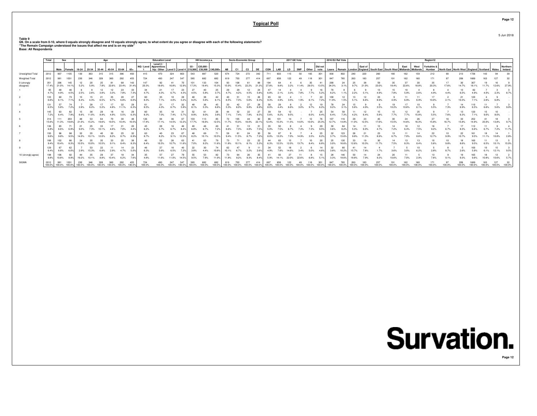5 Jun 2018

**Page 12**

Table 9<br>Q9. On a scale from 0-10, where 0 equals strongly disagree and 10 equals strongly agree, to what extent do you agree or disagree with each of the following statements?<br>"The Remain Campaign understood the issues tha

|                          | Total        |                                                  | Sex<br>Aae   |                   |       |       |             |               |                |              | <b>Education Level</b>                                                                               |        |        |        | HH Income p.a. |        |           |              | Socio-Economic Group |               |       |               | 2017 GE Vote |            |       |                 | 2016 EU Ref Vote |               |               |                    |                       |        |                           |        | Region12              |                                                                |        |        |        |       |          |
|--------------------------|--------------|--------------------------------------------------|--------------|-------------------|-------|-------|-------------|---------------|----------------|--------------|------------------------------------------------------------------------------------------------------|--------|--------|--------|----------------|--------|-----------|--------------|----------------------|---------------|-------|---------------|--------------|------------|-------|-----------------|------------------|---------------|---------------|--------------------|-----------------------|--------|---------------------------|--------|-----------------------|----------------------------------------------------------------|--------|--------|--------|-------|----------|
|                          |              | Male Female                                      |              | 18-24 25-34 35-44 |       |       | 45-54 55-64 |               | $65+$          |              | Level 2/<br>NQ / Level Apprentices<br>hip / Other   Level 3   Level 4   £19,999   £39,999   £40,000+ |        |        | $E0 -$ | £20,000 -      |        | <b>AB</b> | C1           | C <sub>2</sub>       | DE            | CON   | LAB           | LD           | <b>SNP</b> | Other | Did not<br>vote | Leave            | Remain        | Londor        | East of<br>England | South East South West |        | East<br>Midlands Midlands | West   | Yorkshire &<br>Humber | North East   North West   England   Scotland   Wales   Ireland |        |        |        |       | Northern |
| Unweighted Total         | 2012         | 907                                              |              |                   | 363   |       |             | 396           | 493            |              |                                                                                                      | 324    | 803    | 543    | 887            | 520    | 674       | 724          | 272                  | 342           | 711   | 603           |              |            | 165   | 301             | 830              | 802           | 240           | 220                |                       |        |                           |        |                       |                                                                |        |        |        |       |          |
| Weighted Total           | 2012         | 981                                              |              |                   |       |       |             |               |                |              |                                                                                                      |        |        |        |                |        |           |              |                      |               |       |               |              |            |       |                 |                  |               |               |                    |                       |        |                           |        |                       |                                                                |        |        |        |       |          |
| 0 (strongly<br>disagree) | 351<br>17.4% | 206<br>21.0%                                     | 145<br>14.1% |                   |       |       |             |               |                | 20.3%        |                                                                                                      |        | 12.9%  |        | 133            |        |           |              |                      |               |       |               |              |            |       |                 | 290              |               |               |                    |                       |        |                           |        |                       |                                                                |        |        |        | 12.6% | 27.9%    |
|                          | 95<br>4.7%   | 48<br>4.9%                                       |              |                   |       |       |             |               |                |              |                                                                                                      |        |        |        |                |        |           |              | 4.5%                 |               |       |               |              |            |       |                 |                  |               |               |                    |                       |        |                           |        |                       |                                                                |        |        |        |       |          |
|                          | 133<br>6.6%  | 60<br>6.1%                                       | 7.1%         |                   |       | 6.5%  |             | 6.8%          | 6.0%           |              | 7 1%                                                                                                 | 4.0%   | 5.2%   |        | 5.6%           |        | 6.5%      | 51<br>7.3%   | 5.6%                 | 26            | 9.3%  |               |              |            |       | 7.2%            | 100              |               | 5.1%          |                    |                       |        |                           |        |                       |                                                                |        |        |        |       |          |
|                          | 131<br>6.5%  | 57<br>5.8%                                       | 7.2%         |                   |       |       |             |               |                |              |                                                                                                      |        |        |        |                |        | 5.3%      | 6.0%         |                      |               |       |               |              |            |       |                 |                  |               |               |                    |                       |        |                           |        |                       |                                                                |        |        |        |       |          |
|                          | 145<br>7.2%  | 63<br>6.4%                                       | 7.9%         | 6.6%              | 11.0% | 8.9%  | 4.9%        | 5.5%          | 29<br>6.3%     |              | 7.0%                                                                                                 | 7.4%   | 5.7%   | 8.9%   | 9.0%           |        | 7.1%      | 52<br>7.4%   | 22<br>7.8%           | 6.5%          | 5.6%  |               |              |            |       | 25<br>8.4%      | 54<br>6.4%       | 58<br>7.3%    | 4.2%          | 6.4%               |                       | 7 7%   |                           | 1 E ON |                       |                                                                |        |        |        |       |          |
|                          | 314<br>15.6% | 11.3%                                            | 203<br>19.6% |                   |       |       |             |               | $10.5^{\circ}$ | 126<br>17.4% |                                                                                                      | 14.5%  | 12.2%  | 17.7%  | 13             |        | 11 7%     | 105<br>15.0% | 16.0%                | 221           | 12.4% |               |              |            |       |                 | 107<br>12.7%     | 14.8%         | 11.0%         | 12.5%              |                       |        |                           |        |                       |                                                                |        |        |        |       |          |
|                          | 136<br>6.8%  | 65<br>6.6%                                       |              |                   |       |       |             |               |                | 6.2%         |                                                                                                      |        |        | 6.8%   |                | 7 2%   | 6.6%      | E1<br>7.3%   | 4.8%                 | 7.5%          | 5.0%  |               |              |            |       | 9.5%            | 3.6%             | 8.2%          | 5.3%          |                    |                       |        |                           |        |                       |                                                                |        |        |        | 7.2%  | 11.7%    |
|                          | 193<br>9.6%  | 96<br>9.8%                                       | $Q$ $EQ$     |                   |       |       |             |               |                |              |                                                                                                      |        | 12.3%  | 8.2%   | 69             |        | 9.4%      |              | 8.7%                 |               | 8.0%  |               |              |            |       |                 | 3.7%             | 123<br>15.6%  |               |                    |                       |        |                           |        |                       |                                                                |        |        |        |       |          |
|                          | 188<br>9.4%  | 102<br>10.4%                                     | 8.3%         | 10.5%             | 10.0% | 10.5% |             | 8.4%          | 8.3%           | 6.4%         |                                                                                                      | 10.7%  |        | 7.0%   | 63<br>9.2%     |        |           | 10.1%        | 23<br>8.1%           | 5.3%          | 6.3%  | 12.5%         |              |            |       | 6.8%            | 25<br>3.0%       | 130<br>16.6%  | 12.6%         | 10.3%              |                       | 7.5%   |                           |        |                       |                                                                |        |        |        | 10.1% | 15.0%    |
|                          | 129<br>6.4%  | 67<br>6.8%                                       |              |                   |       |       |             |               |                | 6.3%         |                                                                                                      | 6.5%   | 7.2%   | 3.8%   |                |        |           |              |                      |               |       |               |              |            |       |                 | 3.8%             | 80<br>10.2%   |               |                    |                       |        |                           |        |                       |                                                                |        |        |        |       |          |
| 10 (strongly agree)      | 198<br>9.8%  | 106<br>10.8%                                     | 8.9%         | 19.2%             | 10.1% | 8.8%  |             | 6.2%          | 7.6%           | 4.8%         |                                                                                                      | 11.0%  | 14.5%  | 9.5%   | 7.8%           | 11.9%  |           | 9.2%         | 9.3%                 | 8.4%          | 5.9%  |               | 22.0%        |            |       | 5, 1%           | 28<br>3.3%       | 146<br>18.6%  | 18.8%         | 7.9%               | 9.3%                  | 10.6%  |                           |        |                       |                                                                | 9.3%   |        | 10.8%  | 10.6% | 5.7%     |
| SIGMA                    | 2012         | 981<br>100.0% 100.0% 100.0% 100.0% 100.0% 100.0% |              |                   |       |       | 100.0%      | 100.0% 100.0% |                | 100.0%       | 100.0%                                                                                               | 100.0% | 100.0% | 100.0% | 682<br>100.0%  | 100.0% | 100.0%    | 100.0%       | 100.0%               | 100.0% 100.0% |       | 100.0% 100.0% |              | 100.0%     |       | 100.0%          | 100.0%           | 785<br>100.0% | 263<br>100.0% | 183<br>100.0%      | 100.0%                | 100.0% | 100.0%                    | 100.0% | 100.0%                | 100.0%                                                         | 100.0% | 100.0% | 100.0% |       |          |